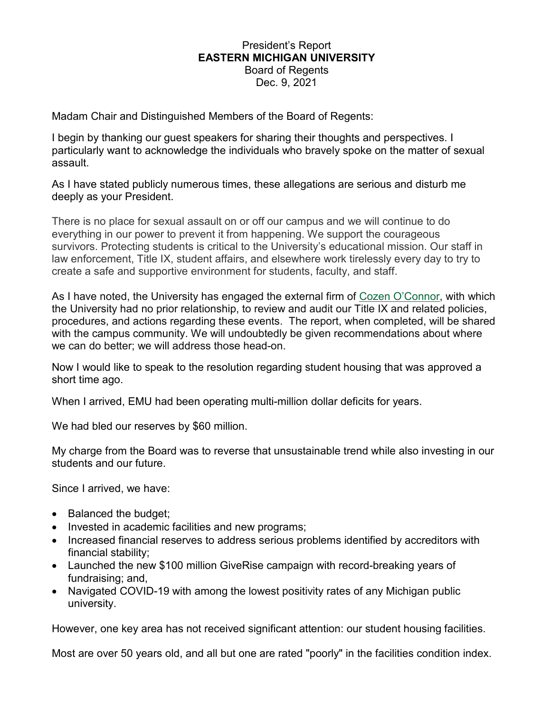### President's Report **EASTERN MICHIGAN UNIVERSITY** Board of Regents Dec. 9, 2021

Madam Chair and Distinguished Members of the Board of Regents:

I begin by thanking our guest speakers for sharing their thoughts and perspectives. I particularly want to acknowledge the individuals who bravely spoke on the matter of sexual assault.

As I have stated publicly numerous times, these allegations are serious and disturb me deeply as your President.

There is no place for sexual assault on or off our campus and we will continue to do everything in our power to prevent it from happening. We support the courageous survivors. Protecting students is critical to the University's educational mission. Our staff in law enforcement, Title IX, student affairs, and elsewhere work tirelessly every day to try to create a safe and supportive environment for students, faculty, and staff.

As I have noted, the University has engaged the external firm of [Cozen O'Connor,](https://www.cozen.com/) with which the University had no prior relationship, to review and audit our Title IX and related policies, procedures, and actions regarding these events. The report, when completed, will be shared with the campus community. We will undoubtedly be given recommendations about where we can do better; we will address those head-on.

Now I would like to speak to the resolution regarding student housing that was approved a short time ago.

When I arrived, EMU had been operating multi-million dollar deficits for years.

We had bled our reserves by \$60 million.

My charge from the Board was to reverse that unsustainable trend while also investing in our students and our future.

Since I arrived, we have:

- Balanced the budget;
- Invested in academic facilities and new programs;
- Increased financial reserves to address serious problems identified by accreditors with financial stability;
- Launched the new \$100 million GiveRise campaign with record-breaking years of fundraising; and,
- Navigated COVID-19 with among the lowest positivity rates of any Michigan public university.

However, one key area has not received significant attention: our student housing facilities.

Most are over 50 years old, and all but one are rated "poorly" in the facilities condition index.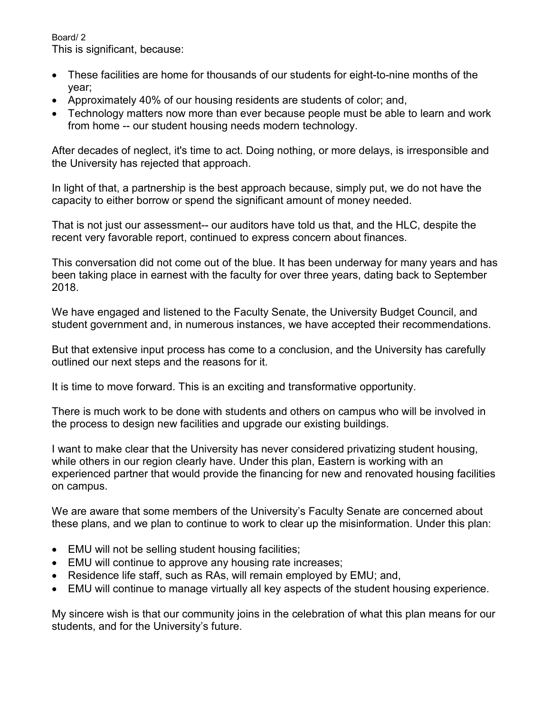Board/ 2 This is significant, because:

- These facilities are home for thousands of our students for eight-to-nine months of the year;
- Approximately 40% of our housing residents are students of color; and,
- Technology matters now more than ever because people must be able to learn and work from home -- our student housing needs modern technology.

After decades of neglect, it's time to act. Doing nothing, or more delays, is irresponsible and the University has rejected that approach.

In light of that, a partnership is the best approach because, simply put, we do not have the capacity to either borrow or spend the significant amount of money needed.

That is not just our assessment-- our auditors have told us that, and the HLC, despite the recent very favorable report, continued to express concern about finances.

This conversation did not come out of the blue. It has been underway for many years and has been taking place in earnest with the faculty for over three years, dating back to September 2018.

We have engaged and listened to the Faculty Senate, the University Budget Council, and student government and, in numerous instances, we have accepted their recommendations.

But that extensive input process has come to a conclusion, and the University has carefully outlined our next steps and the reasons for it.

It is time to move forward. This is an exciting and transformative opportunity.

There is much work to be done with students and others on campus who will be involved in the process to design new facilities and upgrade our existing buildings.

I want to make clear that the University has never considered privatizing student housing, while others in our region clearly have. Under this plan, Eastern is working with an experienced partner that would provide the financing for new and renovated housing facilities on campus.

We are aware that some members of the University's Faculty Senate are concerned about these plans, and we plan to continue to work to clear up the misinformation. Under this plan:

- EMU will not be selling student housing facilities;
- EMU will continue to approve any housing rate increases;
- Residence life staff, such as RAs, will remain employed by EMU; and,
- EMU will continue to manage virtually all key aspects of the student housing experience.

My sincere wish is that our community joins in the celebration of what this plan means for our students, and for the University's future.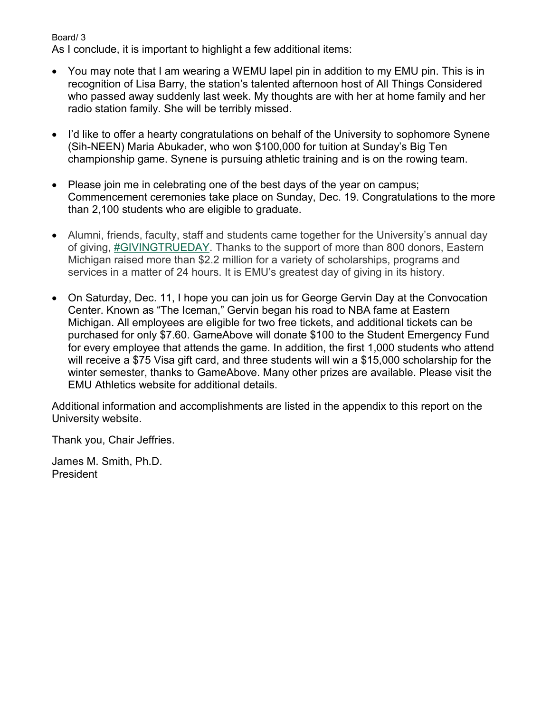Board/ 3

As I conclude, it is important to highlight a few additional items:

- You may note that I am wearing a WEMU lapel pin in addition to my EMU pin. This is in recognition of Lisa Barry, the station's talented afternoon host of All Things Considered who passed away suddenly last week. My thoughts are with her at home family and her radio station family. She will be terribly missed.
- I'd like to offer a hearty congratulations on behalf of the University to sophomore Synene (Sih-NEEN) Maria Abukader, who won \$100,000 for tuition at Sunday's Big Ten championship game. Synene is pursuing athletic training and is on the rowing team.
- Please join me in celebrating one of the best days of the year on campus; Commencement ceremonies take place on Sunday, Dec. 19. Congratulations to the more than 2,100 students who are eligible to graduate.
- Alumni, friends, faculty, staff and students came together for the University's annual day of giving, **#GIVINGTRUEDAY**. Thanks to the support of more than 800 donors, Eastern Michigan raised more than \$2.2 million for a variety of scholarships, programs and services in a matter of 24 hours. It is EMU's greatest day of giving in its history.
- On Saturday, Dec. 11, I hope you can join us for George Gervin Day at the Convocation Center. Known as "The Iceman," Gervin began his road to NBA fame at Eastern Michigan. All employees are eligible for two free tickets, and additional tickets can be purchased for only \$7.60. GameAbove will donate \$100 to the Student Emergency Fund for every employee that attends the game. In addition, the first 1,000 students who attend will receive a \$75 Visa gift card, and three students will win a \$15,000 scholarship for the winter semester, thanks to GameAbove. Many other prizes are available. Please visit the EMU Athletics website for additional details.

Additional information and accomplishments are listed in the appendix to this report on the University website.

Thank you, Chair Jeffries.

James M. Smith, Ph.D. President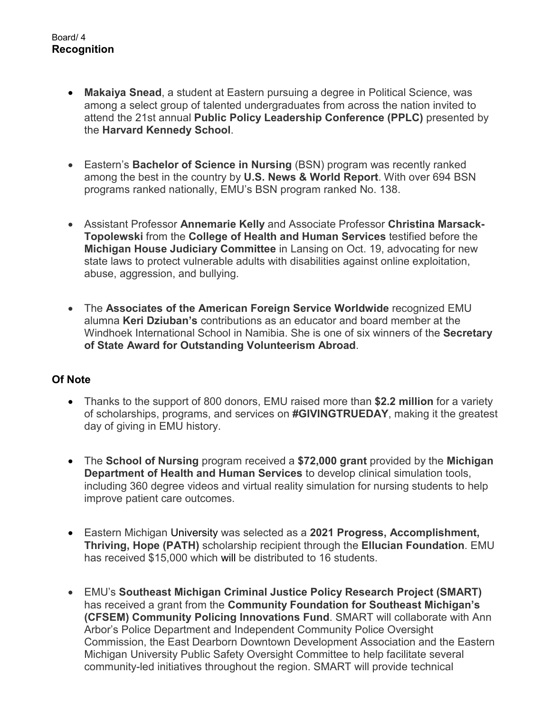- **Makaiya Snead**, a student at Eastern pursuing a degree in Political Science, was among a select group of talented undergraduates from across the nation invited to attend the 21st annual **Public Policy Leadership Conference (PPLC)** presented by the **Harvard Kennedy School**.
- Eastern's **Bachelor of Science in Nursing** (BSN) program was recently ranked among the best in the country by **U.S. News & World Report**. With over 694 BSN programs ranked nationally, EMU's BSN program ranked No. 138.
- Assistant Professor **Annemarie Kelly** and Associate Professor **Christina Marsack-Topolewski** from the **College of Health and Human Services** testified before the **Michigan House Judiciary Committee** in Lansing on Oct. 19, advocating for new state laws to protect vulnerable adults with disabilities against online exploitation, abuse, aggression, and bullying.
- The **Associates of the American Foreign Service Worldwide** recognized EMU alumna **Keri Dziuban's** contributions as an educator and board member at the Windhoek International School in Namibia. She is one of six winners of the **Secretary of State Award for Outstanding Volunteerism Abroad**.

# **Of Note**

- Thanks to the support of 800 donors, EMU raised more than **\$2.2 million** for a variety of scholarships, programs, and services on **#GIVINGTRUEDAY**, making it the greatest day of giving in EMU history.
- The **School of Nursing** program received a **\$72,000 grant** provided by the **Michigan Department of Health and Human Services** to develop clinical simulation tools, including 360 degree videos and virtual reality simulation for nursing students to help improve patient care outcomes.
- Eastern Michigan University was selected as a **2021 Progress, Accomplishment, Thriving, Hope (PATH)** scholarship recipient through the **Ellucian Foundation**. EMU has received \$15,000 which will be distributed to 16 students.
- EMU's **Southeast Michigan Criminal Justice Policy Research Project (SMART)** has received a grant from the **Community Foundation for Southeast Michigan's (CFSEM) Community Policing Innovations Fund**. SMART will collaborate with Ann Arbor's Police Department and Independent Community Police Oversight Commission, the East Dearborn Downtown Development Association and the Eastern Michigan University Public Safety Oversight Committee to help facilitate several community-led initiatives throughout the region. SMART will provide technical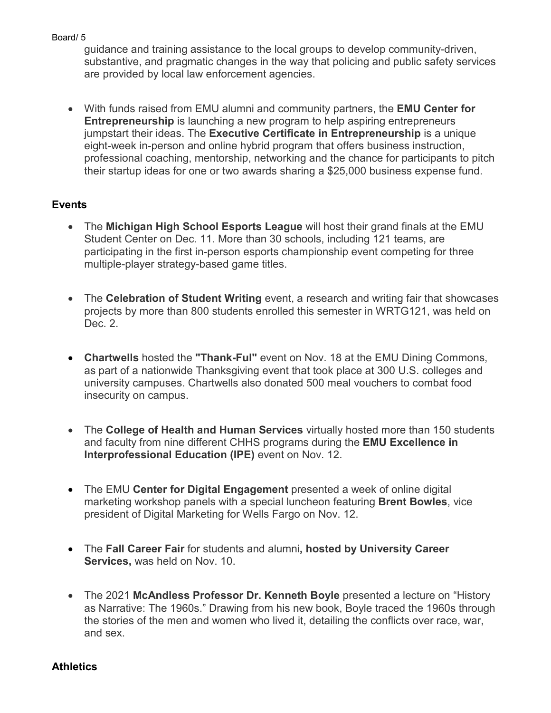guidance and training assistance to the local groups to develop community-driven, substantive, and pragmatic changes in the way that policing and public safety services are provided by local law enforcement agencies.

• With funds raised from EMU alumni and community partners, the **EMU Center for Entrepreneurship** is launching a new program to help aspiring entrepreneurs jumpstart their ideas. The **Executive Certificate in Entrepreneurship** is a unique eight-week in-person and online hybrid program that offers business instruction, professional coaching, mentorship, networking and the chance for participants to pitch their startup ideas for one or two awards sharing a \$25,000 business expense fund.

# **Events**

- The **Michigan High School Esports League** will host their grand finals at the EMU Student Center on Dec. 11. More than 30 schools, including 121 teams, are participating in the first in-person esports championship event competing for three multiple-player strategy-based game titles.
- The **Celebration of Student Writing** event, a research and writing fair that showcases projects by more than 800 students enrolled this semester in WRTG121, was held on Dec. 2.
- **Chartwells** hosted the **"Thank-Ful"** event on Nov. 18 at the EMU Dining Commons, as part of a nationwide Thanksgiving event that took place at 300 U.S. colleges and university campuses. Chartwells also donated 500 meal vouchers to combat food insecurity on campus.
- The **College of Health and Human Services** virtually hosted more than 150 students and faculty from nine different CHHS programs during the **EMU Excellence in Interprofessional Education (IPE)** event on Nov. 12.
- The EMU **Center for Digital Engagement** presented a week of online digital marketing workshop panels with a special luncheon featuring **Brent Bowles**, vice president of Digital Marketing for Wells Fargo on Nov. 12.
- The **Fall Career Fair** for students and alumni**, hosted by University Career Services,** was held on Nov. 10.
- The 2021 **McAndless Professor Dr. Kenneth Boyle** presented a lecture on "History as Narrative: The 1960s." Drawing from his new book, Boyle traced the 1960s through the stories of the men and women who lived it, detailing the conflicts over race, war, and sex.

# **Athletics**